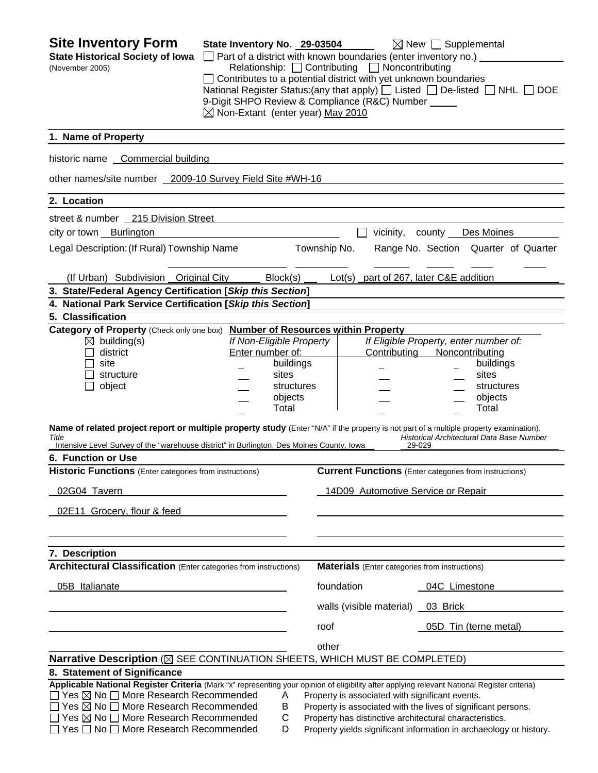| <b>Site Inventory Form</b><br><b>State Historical Society of Iowa</b>                                                                                                                                                                         | State Inventory No. 29-03504                                                                                                                                                                                                                                                                                               |                          |              |                            | $\boxtimes$ New $\Box$ Supplemental<br>$\Box$ Part of a district with known boundaries (enter inventory no.) $\Box$ |  |
|-----------------------------------------------------------------------------------------------------------------------------------------------------------------------------------------------------------------------------------------------|----------------------------------------------------------------------------------------------------------------------------------------------------------------------------------------------------------------------------------------------------------------------------------------------------------------------------|--------------------------|--------------|----------------------------|---------------------------------------------------------------------------------------------------------------------|--|
| (November 2005)                                                                                                                                                                                                                               | Relationship: Contributing D Noncontributing<br>$\Box$ Contributes to a potential district with yet unknown boundaries<br>National Register Status: (any that apply) $\Box$ Listed $\Box$ De-listed $\Box$ NHL $\Box$ DOE<br>9-Digit SHPO Review & Compliance (R&C) Number<br>$\boxtimes$ Non-Extant (enter year) May 2010 |                          |              |                            |                                                                                                                     |  |
| 1. Name of Property                                                                                                                                                                                                                           |                                                                                                                                                                                                                                                                                                                            |                          |              |                            |                                                                                                                     |  |
| historic name Commercial building                                                                                                                                                                                                             |                                                                                                                                                                                                                                                                                                                            |                          |              |                            |                                                                                                                     |  |
| other names/site number 2009-10 Survey Field Site #WH-16                                                                                                                                                                                      |                                                                                                                                                                                                                                                                                                                            |                          |              |                            |                                                                                                                     |  |
| 2. Location                                                                                                                                                                                                                                   |                                                                                                                                                                                                                                                                                                                            |                          |              |                            |                                                                                                                     |  |
| street & number _ 215 Division Street                                                                                                                                                                                                         |                                                                                                                                                                                                                                                                                                                            |                          |              |                            |                                                                                                                     |  |
| city or town Burlington                                                                                                                                                                                                                       |                                                                                                                                                                                                                                                                                                                            |                          |              |                            | vicinity, county Des Moines                                                                                         |  |
| Legal Description: (If Rural) Township Name                                                                                                                                                                                                   |                                                                                                                                                                                                                                                                                                                            |                          | Township No. |                            | Range No. Section Quarter of Quarter                                                                                |  |
| (If Urban) Subdivision Original City                                                                                                                                                                                                          |                                                                                                                                                                                                                                                                                                                            | Block(s)                 |              |                            | Lot(s) part of 267, later C&E addition                                                                              |  |
| 3. State/Federal Agency Certification [Skip this Section]                                                                                                                                                                                     |                                                                                                                                                                                                                                                                                                                            |                          |              |                            |                                                                                                                     |  |
| 4. National Park Service Certification [Skip this Section]                                                                                                                                                                                    |                                                                                                                                                                                                                                                                                                                            |                          |              |                            |                                                                                                                     |  |
| 5. Classification<br>Category of Property (Check only one box) Number of Resources within Property                                                                                                                                            |                                                                                                                                                                                                                                                                                                                            |                          |              |                            |                                                                                                                     |  |
| $\boxtimes$ building(s)                                                                                                                                                                                                                       |                                                                                                                                                                                                                                                                                                                            | If Non-Eligible Property |              |                            | If Eligible Property, enter number of:                                                                              |  |
| district                                                                                                                                                                                                                                      | Enter number of:                                                                                                                                                                                                                                                                                                           |                          |              | Contributing               | Noncontributing                                                                                                     |  |
| site                                                                                                                                                                                                                                          |                                                                                                                                                                                                                                                                                                                            | buildings                |              |                            | buildings                                                                                                           |  |
| structure                                                                                                                                                                                                                                     |                                                                                                                                                                                                                                                                                                                            | sites                    |              |                            | sites                                                                                                               |  |
| object                                                                                                                                                                                                                                        |                                                                                                                                                                                                                                                                                                                            | structures<br>objects    |              |                            | structures<br>objects                                                                                               |  |
|                                                                                                                                                                                                                                               |                                                                                                                                                                                                                                                                                                                            | Total                    |              |                            | Total                                                                                                               |  |
| Name of related project report or multiple property study (Enter "N/A" if the property is not part of a multiple property examination).<br>Title<br>Intensive Level Survey of the "warehouse district" in Burlington, Des Moines County, Iowa |                                                                                                                                                                                                                                                                                                                            |                          |              |                            | Historical Architectural Data Base Number<br>29-029                                                                 |  |
| 6. Function or Use                                                                                                                                                                                                                            |                                                                                                                                                                                                                                                                                                                            |                          |              |                            |                                                                                                                     |  |
| <b>Historic Functions</b> (Enter categories from instructions)                                                                                                                                                                                |                                                                                                                                                                                                                                                                                                                            |                          |              |                            | <b>Current Functions</b> (Enter categories from instructions)                                                       |  |
| 02G04 Tavern                                                                                                                                                                                                                                  |                                                                                                                                                                                                                                                                                                                            |                          |              |                            | 14D09 Automotive Service or Repair                                                                                  |  |
| 02E11 Grocery, flour & feed                                                                                                                                                                                                                   |                                                                                                                                                                                                                                                                                                                            |                          |              |                            |                                                                                                                     |  |
|                                                                                                                                                                                                                                               |                                                                                                                                                                                                                                                                                                                            |                          |              |                            |                                                                                                                     |  |
| 7. Description                                                                                                                                                                                                                                |                                                                                                                                                                                                                                                                                                                            |                          |              |                            |                                                                                                                     |  |
| <b>Architectural Classification</b> (Enter categories from instructions)                                                                                                                                                                      |                                                                                                                                                                                                                                                                                                                            |                          |              |                            | <b>Materials</b> (Enter categories from instructions)                                                               |  |
| 05B Italianate                                                                                                                                                                                                                                |                                                                                                                                                                                                                                                                                                                            |                          | foundation   |                            | 04C Limestone                                                                                                       |  |
|                                                                                                                                                                                                                                               |                                                                                                                                                                                                                                                                                                                            |                          |              | walls (visible material) _ | 03 Brick                                                                                                            |  |
|                                                                                                                                                                                                                                               |                                                                                                                                                                                                                                                                                                                            |                          | roof         |                            | 05D Tin (terne metal)                                                                                               |  |
|                                                                                                                                                                                                                                               |                                                                                                                                                                                                                                                                                                                            |                          | other        |                            |                                                                                                                     |  |
| Narrative Description (X SEE CONTINUATION SHEETS, WHICH MUST BE COMPLETED)                                                                                                                                                                    |                                                                                                                                                                                                                                                                                                                            |                          |              |                            |                                                                                                                     |  |
| 8. Statement of Significance                                                                                                                                                                                                                  |                                                                                                                                                                                                                                                                                                                            |                          |              |                            |                                                                                                                     |  |
| Applicable National Register Criteria (Mark "x" representing your opinion of eligibility after applying relevant National Register criteria)                                                                                                  |                                                                                                                                                                                                                                                                                                                            |                          |              |                            |                                                                                                                     |  |
| $\Box$ Yes $\boxtimes$ No $\Box$ More Research Recommended<br>□ Yes ⊠ No □ More Research Recommended                                                                                                                                          |                                                                                                                                                                                                                                                                                                                            | A<br>B                   |              |                            | Property is associated with significant events.<br>Property is associated with the lives of significant persons.    |  |
| $\Box$ Yes $\boxtimes$ No $\Box$ More Research Recommended                                                                                                                                                                                    |                                                                                                                                                                                                                                                                                                                            | С                        |              |                            | Property has distinctive architectural characteristics.                                                             |  |
| $\Box$ Yes $\Box$ No $\Box$ More Research Recommended                                                                                                                                                                                         |                                                                                                                                                                                                                                                                                                                            | D                        |              |                            | Property yields significant information in archaeology or history.                                                  |  |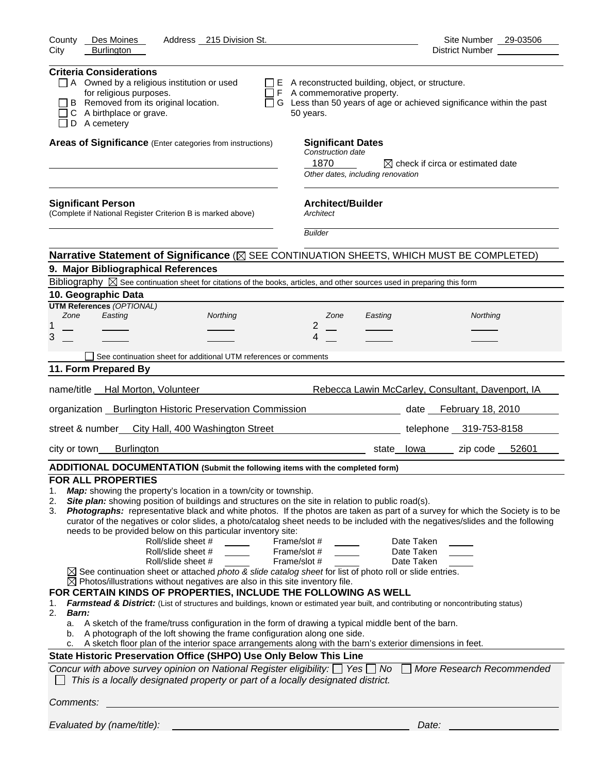| County<br>Des Moines<br>Address 215 Division St.                                                                                                                                                                                                                                                                                                                                                                                                                                                                                                                                                                                                                                                                                                                                                                                                                                                                                                                                                                                                                                                                                                                                                                                                                                                                                                                                                                                                 | Site Number 29-03506                                                                                                                                                                                                                                                                                                                      |
|--------------------------------------------------------------------------------------------------------------------------------------------------------------------------------------------------------------------------------------------------------------------------------------------------------------------------------------------------------------------------------------------------------------------------------------------------------------------------------------------------------------------------------------------------------------------------------------------------------------------------------------------------------------------------------------------------------------------------------------------------------------------------------------------------------------------------------------------------------------------------------------------------------------------------------------------------------------------------------------------------------------------------------------------------------------------------------------------------------------------------------------------------------------------------------------------------------------------------------------------------------------------------------------------------------------------------------------------------------------------------------------------------------------------------------------------------|-------------------------------------------------------------------------------------------------------------------------------------------------------------------------------------------------------------------------------------------------------------------------------------------------------------------------------------------|
| City<br><b>Burlington</b>                                                                                                                                                                                                                                                                                                                                                                                                                                                                                                                                                                                                                                                                                                                                                                                                                                                                                                                                                                                                                                                                                                                                                                                                                                                                                                                                                                                                                        | District Number __________                                                                                                                                                                                                                                                                                                                |
| <b>Criteria Considerations</b><br>$\Box$ A Owned by a religious institution or used<br>for religious purposes.<br>B Removed from its original location.<br>C A birthplace or grave.<br>$\Box$ D A cemetery                                                                                                                                                                                                                                                                                                                                                                                                                                                                                                                                                                                                                                                                                                                                                                                                                                                                                                                                                                                                                                                                                                                                                                                                                                       | $\Box$ E A reconstructed building, object, or structure.<br>$\Box$ F A commemorative property.<br>$\Box$ G Less than 50 years of age or achieved significance within the past<br>50 years.                                                                                                                                                |
| Areas of Significance (Enter categories from instructions)                                                                                                                                                                                                                                                                                                                                                                                                                                                                                                                                                                                                                                                                                                                                                                                                                                                                                                                                                                                                                                                                                                                                                                                                                                                                                                                                                                                       | <b>Significant Dates</b><br>Construction date<br>1870<br>$\boxtimes$ check if circa or estimated date                                                                                                                                                                                                                                     |
|                                                                                                                                                                                                                                                                                                                                                                                                                                                                                                                                                                                                                                                                                                                                                                                                                                                                                                                                                                                                                                                                                                                                                                                                                                                                                                                                                                                                                                                  | Other dates, including renovation                                                                                                                                                                                                                                                                                                         |
| <b>Significant Person</b><br>(Complete if National Register Criterion B is marked above)                                                                                                                                                                                                                                                                                                                                                                                                                                                                                                                                                                                                                                                                                                                                                                                                                                                                                                                                                                                                                                                                                                                                                                                                                                                                                                                                                         | <b>Architect/Builder</b><br>Architect                                                                                                                                                                                                                                                                                                     |
|                                                                                                                                                                                                                                                                                                                                                                                                                                                                                                                                                                                                                                                                                                                                                                                                                                                                                                                                                                                                                                                                                                                                                                                                                                                                                                                                                                                                                                                  | <b>Builder</b>                                                                                                                                                                                                                                                                                                                            |
| Narrative Statement of Significance (X SEE CONTINUATION SHEETS, WHICH MUST BE COMPLETED)                                                                                                                                                                                                                                                                                                                                                                                                                                                                                                                                                                                                                                                                                                                                                                                                                                                                                                                                                                                                                                                                                                                                                                                                                                                                                                                                                         |                                                                                                                                                                                                                                                                                                                                           |
| 9. Major Bibliographical References                                                                                                                                                                                                                                                                                                                                                                                                                                                                                                                                                                                                                                                                                                                                                                                                                                                                                                                                                                                                                                                                                                                                                                                                                                                                                                                                                                                                              |                                                                                                                                                                                                                                                                                                                                           |
| Bibliography $\boxtimes$ See continuation sheet for citations of the books, articles, and other sources used in preparing this form                                                                                                                                                                                                                                                                                                                                                                                                                                                                                                                                                                                                                                                                                                                                                                                                                                                                                                                                                                                                                                                                                                                                                                                                                                                                                                              |                                                                                                                                                                                                                                                                                                                                           |
| 10. Geographic Data<br><b>UTM References (OPTIONAL)</b>                                                                                                                                                                                                                                                                                                                                                                                                                                                                                                                                                                                                                                                                                                                                                                                                                                                                                                                                                                                                                                                                                                                                                                                                                                                                                                                                                                                          |                                                                                                                                                                                                                                                                                                                                           |
| Easting<br>Zone<br>Northing                                                                                                                                                                                                                                                                                                                                                                                                                                                                                                                                                                                                                                                                                                                                                                                                                                                                                                                                                                                                                                                                                                                                                                                                                                                                                                                                                                                                                      | Zone<br>Northing<br>Easting                                                                                                                                                                                                                                                                                                               |
| 1                                                                                                                                                                                                                                                                                                                                                                                                                                                                                                                                                                                                                                                                                                                                                                                                                                                                                                                                                                                                                                                                                                                                                                                                                                                                                                                                                                                                                                                | $\overline{2}$                                                                                                                                                                                                                                                                                                                            |
| 3                                                                                                                                                                                                                                                                                                                                                                                                                                                                                                                                                                                                                                                                                                                                                                                                                                                                                                                                                                                                                                                                                                                                                                                                                                                                                                                                                                                                                                                | 4                                                                                                                                                                                                                                                                                                                                         |
| See continuation sheet for additional UTM references or comments                                                                                                                                                                                                                                                                                                                                                                                                                                                                                                                                                                                                                                                                                                                                                                                                                                                                                                                                                                                                                                                                                                                                                                                                                                                                                                                                                                                 |                                                                                                                                                                                                                                                                                                                                           |
| 11. Form Prepared By                                                                                                                                                                                                                                                                                                                                                                                                                                                                                                                                                                                                                                                                                                                                                                                                                                                                                                                                                                                                                                                                                                                                                                                                                                                                                                                                                                                                                             |                                                                                                                                                                                                                                                                                                                                           |
| name/title Hal Morton, Volunteer                                                                                                                                                                                                                                                                                                                                                                                                                                                                                                                                                                                                                                                                                                                                                                                                                                                                                                                                                                                                                                                                                                                                                                                                                                                                                                                                                                                                                 | Rebecca Lawin McCarley, Consultant, Davenport, IA                                                                                                                                                                                                                                                                                         |
| organization Burlington Historic Preservation Commission                                                                                                                                                                                                                                                                                                                                                                                                                                                                                                                                                                                                                                                                                                                                                                                                                                                                                                                                                                                                                                                                                                                                                                                                                                                                                                                                                                                         | date February 18, 2010                                                                                                                                                                                                                                                                                                                    |
| street & number_ City Hall, 400 Washington Street                                                                                                                                                                                                                                                                                                                                                                                                                                                                                                                                                                                                                                                                                                                                                                                                                                                                                                                                                                                                                                                                                                                                                                                                                                                                                                                                                                                                | telephone 319-753-8158                                                                                                                                                                                                                                                                                                                    |
| <b>Burlington</b><br>city or town___                                                                                                                                                                                                                                                                                                                                                                                                                                                                                                                                                                                                                                                                                                                                                                                                                                                                                                                                                                                                                                                                                                                                                                                                                                                                                                                                                                                                             | state lowa zip code 52601                                                                                                                                                                                                                                                                                                                 |
| ADDITIONAL DOCUMENTATION (Submit the following items with the completed form)                                                                                                                                                                                                                                                                                                                                                                                                                                                                                                                                                                                                                                                                                                                                                                                                                                                                                                                                                                                                                                                                                                                                                                                                                                                                                                                                                                    |                                                                                                                                                                                                                                                                                                                                           |
| <b>FOR ALL PROPERTIES</b><br>Map: showing the property's location in a town/city or township.<br>1.<br>Site plan: showing position of buildings and structures on the site in relation to public road(s).<br>2.<br>3.<br>needs to be provided below on this particular inventory site:<br>Roll/slide sheet #<br>Frame/slot #<br>Roll/slide sheet #<br>Frame/slot #<br>Frame/slot #<br>Roll/slide sheet #<br>$\boxtimes$ See continuation sheet or attached photo & slide catalog sheet for list of photo roll or slide entries.<br>$\boxtimes$ Photos/illustrations without negatives are also in this site inventory file.<br>FOR CERTAIN KINDS OF PROPERTIES, INCLUDE THE FOLLOWING AS WELL<br>Farmstead & District: (List of structures and buildings, known or estimated year built, and contributing or noncontributing status)<br>1.<br>2.<br>Barn:<br>a. A sketch of the frame/truss configuration in the form of drawing a typical middle bent of the barn.<br>A photograph of the loft showing the frame configuration along one side.<br>b.<br>A sketch floor plan of the interior space arrangements along with the barn's exterior dimensions in feet.<br>c.<br>State Historic Preservation Office (SHPO) Use Only Below This Line<br>Concur with above survey opinion on National Register eligibility: $\Box$ Yes $\Box$ No $\Box$<br>This is a locally designated property or part of a locally designated district.<br>Comments: | Photographs: representative black and white photos. If the photos are taken as part of a survey for which the Society is to be<br>curator of the negatives or color slides, a photo/catalog sheet needs to be included with the negatives/slides and the following<br>Date Taken<br>Date Taken<br>Date Taken<br>More Research Recommended |
| Evaluated by (name/title):                                                                                                                                                                                                                                                                                                                                                                                                                                                                                                                                                                                                                                                                                                                                                                                                                                                                                                                                                                                                                                                                                                                                                                                                                                                                                                                                                                                                                       | Date:                                                                                                                                                                                                                                                                                                                                     |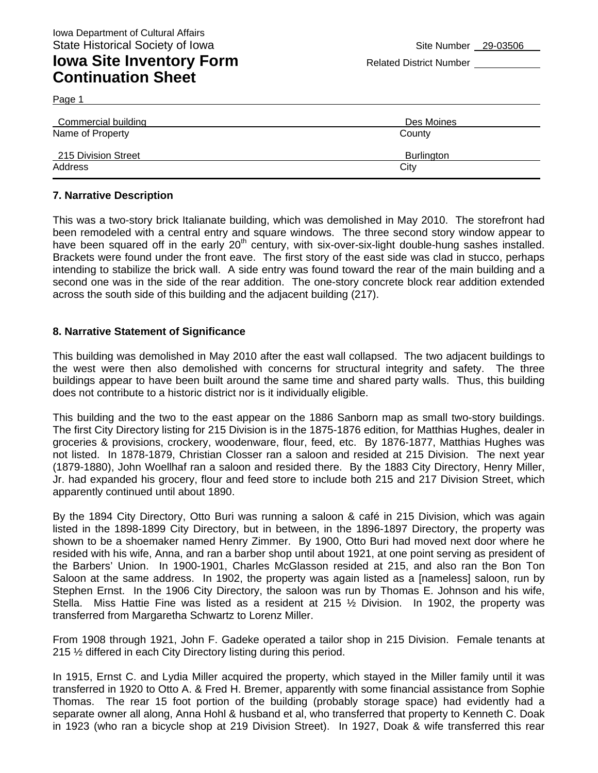## **Iowa Site Inventory Form** Related District Number **Continuation Sheet**

Page 1

| Commercial building | Des Moines        |
|---------------------|-------------------|
| Name of Property    | County            |
| 215 Division Street | <b>Burlington</b> |
| Address             | City              |

#### **7. Narrative Description**

This was a two-story brick Italianate building, which was demolished in May 2010. The storefront had been remodeled with a central entry and square windows. The three second story window appear to have been squared off in the early 20<sup>th</sup> century, with six-over-six-light double-hung sashes installed. Brackets were found under the front eave. The first story of the east side was clad in stucco, perhaps intending to stabilize the brick wall. A side entry was found toward the rear of the main building and a second one was in the side of the rear addition. The one-story concrete block rear addition extended across the south side of this building and the adjacent building (217).

#### **8. Narrative Statement of Significance**

This building was demolished in May 2010 after the east wall collapsed. The two adjacent buildings to the west were then also demolished with concerns for structural integrity and safety. The three buildings appear to have been built around the same time and shared party walls. Thus, this building does not contribute to a historic district nor is it individually eligible.

This building and the two to the east appear on the 1886 Sanborn map as small two-story buildings. The first City Directory listing for 215 Division is in the 1875-1876 edition, for Matthias Hughes, dealer in groceries & provisions, crockery, woodenware, flour, feed, etc. By 1876-1877, Matthias Hughes was not listed. In 1878-1879, Christian Closser ran a saloon and resided at 215 Division. The next year (1879-1880), John Woellhaf ran a saloon and resided there. By the 1883 City Directory, Henry Miller, Jr. had expanded his grocery, flour and feed store to include both 215 and 217 Division Street, which apparently continued until about 1890.

By the 1894 City Directory, Otto Buri was running a saloon & café in 215 Division, which was again listed in the 1898-1899 City Directory, but in between, in the 1896-1897 Directory, the property was shown to be a shoemaker named Henry Zimmer. By 1900, Otto Buri had moved next door where he resided with his wife, Anna, and ran a barber shop until about 1921, at one point serving as president of the Barbers' Union. In 1900-1901, Charles McGlasson resided at 215, and also ran the Bon Ton Saloon at the same address. In 1902, the property was again listed as a [nameless] saloon, run by Stephen Ernst. In the 1906 City Directory, the saloon was run by Thomas E. Johnson and his wife, Stella. Miss Hattie Fine was listed as a resident at 215 ½ Division. In 1902, the property was transferred from Margaretha Schwartz to Lorenz Miller.

From 1908 through 1921, John F. Gadeke operated a tailor shop in 215 Division. Female tenants at 215 ½ differed in each City Directory listing during this period.

In 1915, Ernst C. and Lydia Miller acquired the property, which stayed in the Miller family until it was transferred in 1920 to Otto A. & Fred H. Bremer, apparently with some financial assistance from Sophie Thomas. The rear 15 foot portion of the building (probably storage space) had evidently had a separate owner all along, Anna Hohl & husband et al, who transferred that property to Kenneth C. Doak in 1923 (who ran a bicycle shop at 219 Division Street). In 1927, Doak & wife transferred this rear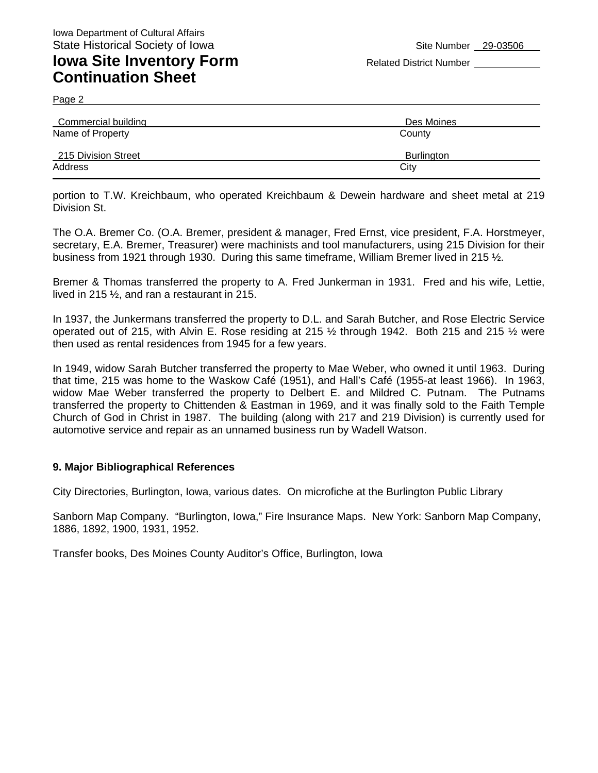### **Iowa Site Inventory Form** Related District Number **Related District Number Continuation Sheet**

Page 2

| Commercial building | Des Moines        |
|---------------------|-------------------|
| Name of Property    | County            |
| 215 Division Street | <b>Burlington</b> |
| Address             | City              |

portion to T.W. Kreichbaum, who operated Kreichbaum & Dewein hardware and sheet metal at 219 Division St.

The O.A. Bremer Co. (O.A. Bremer, president & manager, Fred Ernst, vice president, F.A. Horstmeyer, secretary, E.A. Bremer, Treasurer) were machinists and tool manufacturers, using 215 Division for their business from 1921 through 1930. During this same timeframe, William Bremer lived in 215 ½.

Bremer & Thomas transferred the property to A. Fred Junkerman in 1931. Fred and his wife, Lettie, lived in 215 ½, and ran a restaurant in 215.

In 1937, the Junkermans transferred the property to D.L. and Sarah Butcher, and Rose Electric Service operated out of 215, with Alvin E. Rose residing at 215 ½ through 1942. Both 215 and 215 ½ were then used as rental residences from 1945 for a few years.

In 1949, widow Sarah Butcher transferred the property to Mae Weber, who owned it until 1963. During that time, 215 was home to the Waskow Café (1951), and Hall's Café (1955-at least 1966). In 1963, widow Mae Weber transferred the property to Delbert E. and Mildred C. Putnam. The Putnams transferred the property to Chittenden & Eastman in 1969, and it was finally sold to the Faith Temple Church of God in Christ in 1987. The building (along with 217 and 219 Division) is currently used for automotive service and repair as an unnamed business run by Wadell Watson.

#### **9. Major Bibliographical References**

City Directories, Burlington, Iowa, various dates. On microfiche at the Burlington Public Library

Sanborn Map Company. "Burlington, Iowa," Fire Insurance Maps. New York: Sanborn Map Company, 1886, 1892, 1900, 1931, 1952.

Transfer books, Des Moines County Auditor's Office, Burlington, Iowa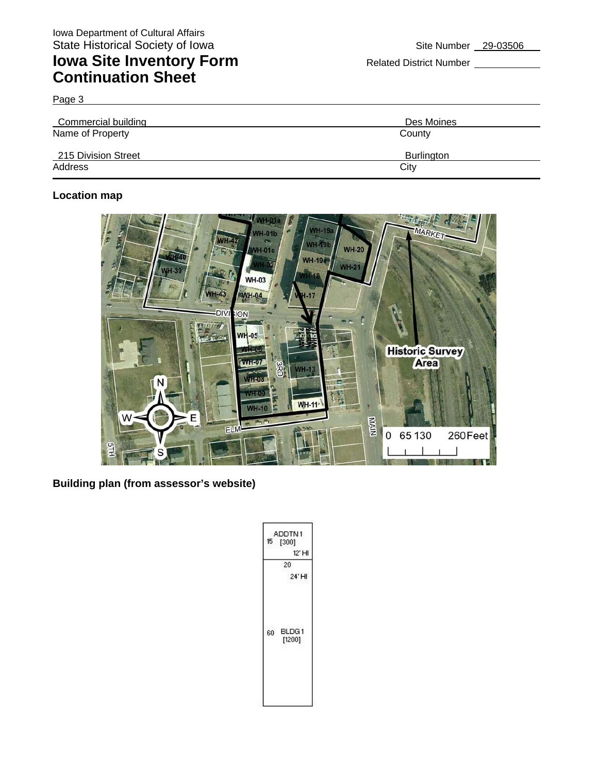## **Iowa Site Inventory Form** Related District Number **Related District Number Continuation Sheet**

Page 3

| Commercial building            | Des Moines                |
|--------------------------------|---------------------------|
| Name of Property               | County                    |
| 215 Division Street<br>Address | <b>Burlington</b><br>City |

#### **Location map**



**Building plan (from assessor's website)** 

| 15 | ADDTN1<br>[300]<br>12' HI<br>20<br>24' HI |
|----|-------------------------------------------|
| 60 | BLDG1<br>[1200]                           |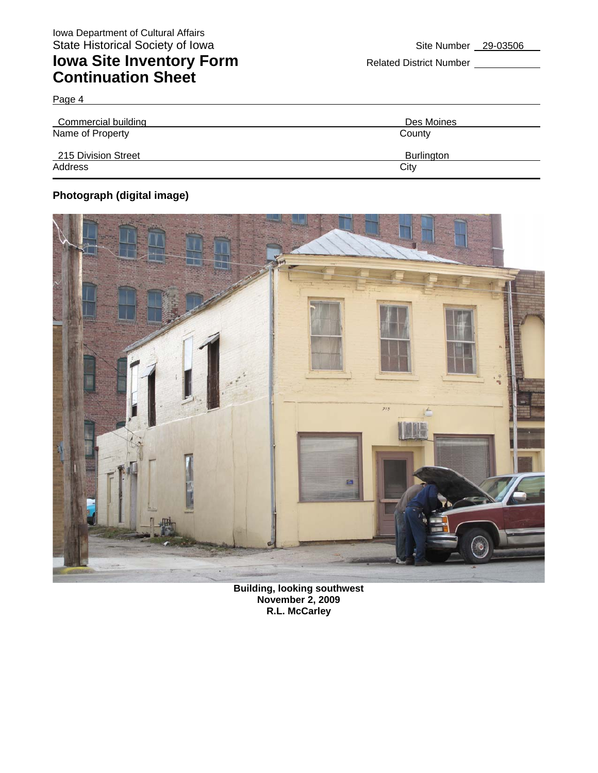## **Iowa Site Inventory Form** Related District Number **Continuation Sheet**

| Commercial building | Des Moines |
|---------------------|------------|
| Name of Property    | County     |
| 215 Division Street | Burlington |
| Address             | City       |

### **Photograph (digital image)**

Page 4



**Building, looking southwest November 2, 2009 R.L. McCarley**